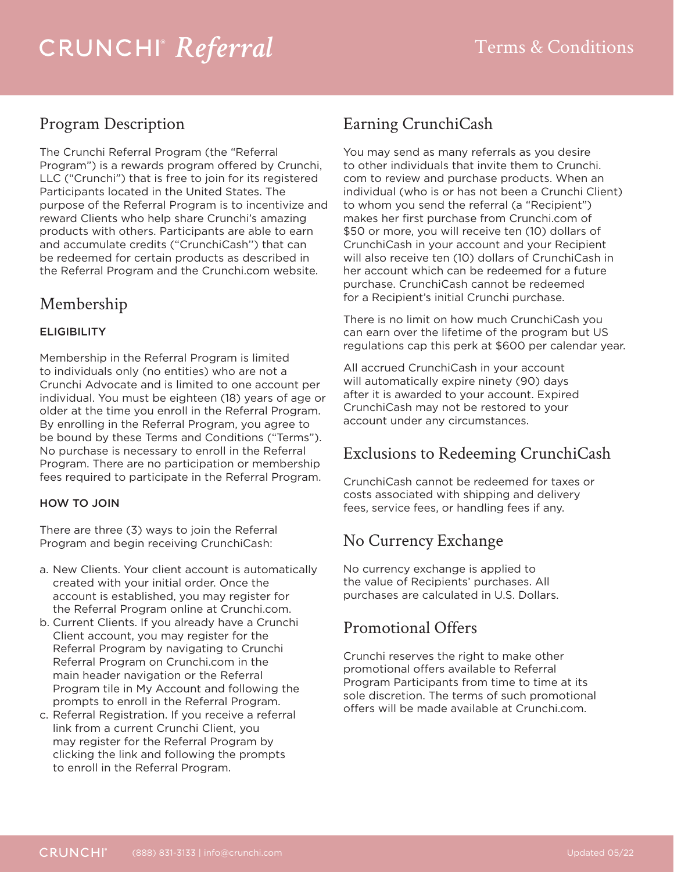# *Referral* Terms & Conditions

#### Program Description

The Crunchi Referral Program (the "Referral Program") is a rewards program offered by Crunchi, LLC ("Crunchi") that is free to join for its registered Participants located in the United States. The purpose of the Referral Program is to incentivize and reward Clients who help share Crunchi's amazing products with others. Participants are able to earn and accumulate credits ("CrunchiCash'') that can be redeemed for certain products as described in the Referral Program and the Crunchi.com website.

#### Membership

#### **ELIGIBILITY**

Membership in the Referral Program is limited to individuals only (no entities) who are not a Crunchi Advocate and is limited to one account per individual. You must be eighteen (18) years of age or older at the time you enroll in the Referral Program. By enrolling in the Referral Program, you agree to be bound by these Terms and Conditions ("Terms"). No purchase is necessary to enroll in the Referral Program. There are no participation or membership fees required to participate in the Referral Program.

#### HOW TO JOIN

There are three (3) ways to join the Referral Program and begin receiving CrunchiCash:

- a. New Clients. Your client account is automatically created with your initial order. Once the account is established, you may register for the Referral Program online at Crunchi.com.
- b. Current Clients. If you already have a Crunchi Client account, you may register for the Referral Program by navigating to Crunchi Referral Program on Crunchi.com in the main header navigation or the Referral Program tile in My Account and following the prompts to enroll in the Referral Program.
- c. Referral Registration. If you receive a referral link from a current Crunchi Client, you may register for the Referral Program by clicking the link and following the prompts to enroll in the Referral Program.

#### Earning CrunchiCash

You may send as many referrals as you desire to other individuals that invite them to Crunchi. com to review and purchase products. When an individual (who is or has not been a Crunchi Client) to whom you send the referral (a "Recipient") makes her first purchase from Crunchi.com of \$50 or more, you will receive ten (10) dollars of CrunchiCash in your account and your Recipient will also receive ten (10) dollars of CrunchiCash in her account which can be redeemed for a future purchase. CrunchiCash cannot be redeemed for a Recipient's initial Crunchi purchase.

There is no limit on how much CrunchiCash you can earn over the lifetime of the program but US regulations cap this perk at \$600 per calendar year.

All accrued CrunchiCash in your account will automatically expire ninety (90) days after it is awarded to your account. Expired CrunchiCash may not be restored to your account under any circumstances.

#### Exclusions to Redeeming CrunchiCash

CrunchiCash cannot be redeemed for taxes or costs associated with shipping and delivery fees, service fees, or handling fees if any.

#### No Currency Exchange

No currency exchange is applied to the value of Recipients' purchases. All purchases are calculated in U.S. Dollars.

#### Promotional Offers

Crunchi reserves the right to make other promotional offers available to Referral Program Participants from time to time at its sole discretion. The terms of such promotional offers will be made available at Crunchi.com.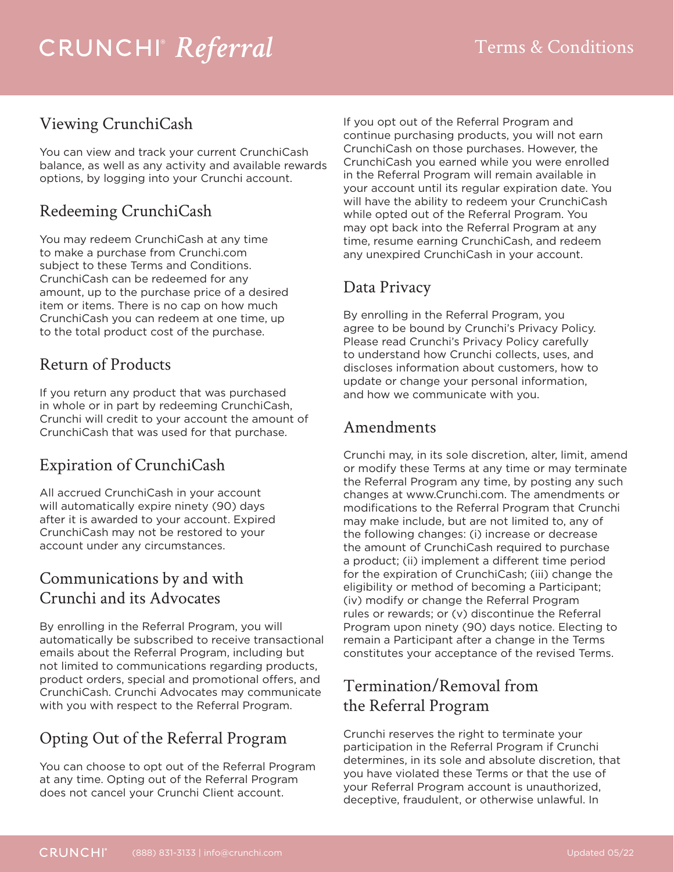## *Referral* Terms & Conditions

#### Viewing CrunchiCash

You can view and track your current CrunchiCash balance, as well as any activity and available rewards options, by logging into your Crunchi account.

#### Redeeming CrunchiCash

You may redeem CrunchiCash at any time to make a purchase from Crunchi.com subject to these Terms and Conditions. CrunchiCash can be redeemed for any amount, up to the purchase price of a desired item or items. There is no cap on how much CrunchiCash you can redeem at one time, up to the total product cost of the purchase.

#### Return of Products

If you return any product that was purchased in whole or in part by redeeming CrunchiCash, Crunchi will credit to your account the amount of CrunchiCash that was used for that purchase.

### Expiration of CrunchiCash

All accrued CrunchiCash in your account will automatically expire ninety (90) days after it is awarded to your account. Expired CrunchiCash may not be restored to your account under any circumstances.

#### Communications by and with Crunchi and its Advocates

By enrolling in the Referral Program, you will automatically be subscribed to receive transactional emails about the Referral Program, including but not limited to communications regarding products, product orders, special and promotional offers, and CrunchiCash. Crunchi Advocates may communicate with you with respect to the Referral Program.

### Opting Out of the Referral Program

You can choose to opt out of the Referral Program at any time. Opting out of the Referral Program does not cancel your Crunchi Client account.

If you opt out of the Referral Program and continue purchasing products, you will not earn CrunchiCash on those purchases. However, the CrunchiCash you earned while you were enrolled in the Referral Program will remain available in your account until its regular expiration date. You will have the ability to redeem your CrunchiCash while opted out of the Referral Program. You may opt back into the Referral Program at any time, resume earning CrunchiCash, and redeem any unexpired CrunchiCash in your account.

### Data Privacy

By enrolling in the Referral Program, you agree to be bound by Crunchi's Privacy Policy. Please read Crunchi's Privacy Policy carefully to understand how Crunchi collects, uses, and discloses information about customers, how to update or change your personal information, and how we communicate with you.

#### Amendments

Crunchi may, in its sole discretion, alter, limit, amend or modify these Terms at any time or may terminate the Referral Program any time, by posting any such changes at www.Crunchi.com. The amendments or modifications to the Referral Program that Crunchi may make include, but are not limited to, any of the following changes: (i) increase or decrease the amount of CrunchiCash required to purchase a product; (ii) implement a different time period for the expiration of CrunchiCash; (iii) change the eligibility or method of becoming a Participant; (iv) modify or change the Referral Program rules or rewards; or (v) discontinue the Referral Program upon ninety (90) days notice. Electing to remain a Participant after a change in the Terms constitutes your acceptance of the revised Terms.

#### Termination/Removal from the Referral Program

Crunchi reserves the right to terminate your participation in the Referral Program if Crunchi determines, in its sole and absolute discretion, that you have violated these Terms or that the use of your Referral Program account is unauthorized, deceptive, fraudulent, or otherwise unlawful. In